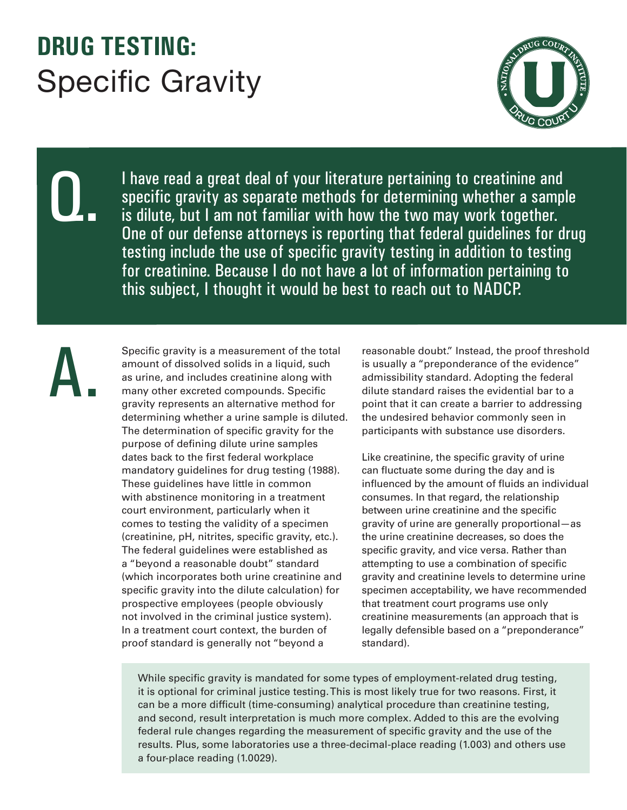## **DRUG TESTING:**  Specific Gravity



I have read a great deal of your literature pertaining to creatinine and specific gravity as separate methods for determining whether a sample is dilute, but I am not familiar with how the two may work together. One of our defense attorneys is reporting that federal guidelines for drug testing include the use of specific gravity testing in addition to testing for creatinine. Because I do not have a lot of information pertaining to this subject, I thought it would be best to reach out to NADCP.

A.

Q.

Specific gravity is a measurement of the total amount of dissolved solids in a liquid, such as urine, and includes creatinine along with many other excreted compounds. Specific gravity represents an alternative method for determining whether a urine sample is diluted. The determination of specific gravity for the purpose of defining dilute urine samples dates back to the first federal workplace mandatory guidelines for drug testing (1988). These guidelines have little in common with abstinence monitoring in a treatment court environment, particularly when it comes to testing the validity of a specimen (creatinine, pH, nitrites, specific gravity, etc.). The federal guidelines were established as a "beyond a reasonable doubt" standard (which incorporates both urine creatinine and specific gravity into the dilute calculation) for prospective employees (people obviously not involved in the criminal justice system). In a treatment court context, the burden of proof standard is generally not "beyond a

reasonable doubt." Instead, the proof threshold is usually a "preponderance of the evidence" admissibility standard. Adopting the federal dilute standard raises the evidential bar to a point that it can create a barrier to addressing the undesired behavior commonly seen in participants with substance use disorders.

Like creatinine, the specific gravity of urine can fluctuate some during the day and is influenced by the amount of fluids an individual consumes. In that regard, the relationship between urine creatinine and the specific gravity of urine are generally proportional—as the urine creatinine decreases, so does the specific gravity, and vice versa. Rather than attempting to use a combination of specific gravity and creatinine levels to determine urine specimen acceptability, we have recommended that treatment court programs use only creatinine measurements (an approach that is legally defensible based on a "preponderance" standard).

While specific gravity is mandated for some types of employment-related drug testing, it is optional for criminal justice testing. This is most likely true for two reasons. First, it can be a more difficult (time-consuming) analytical procedure than creatinine testing, and second, result interpretation is much more complex. Added to this are the evolving federal rule changes regarding the measurement of specific gravity and the use of the results. Plus, some laboratories use a three-decimal-place reading (1.003) and others use a four-place reading (1.0029).